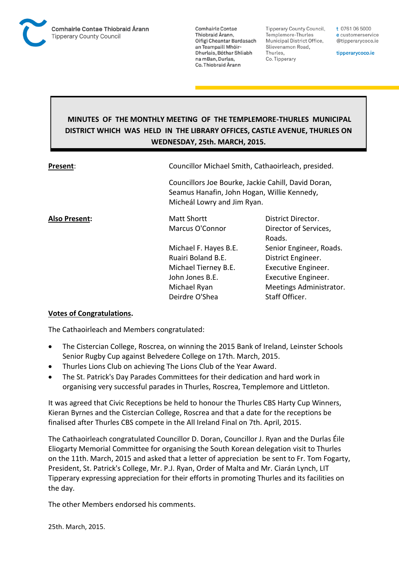

**Tipperary County Council,** Templemore-Thurles Municipal District Office, Slievenamon Road, Thurles, Co. Tipperary

t 0761 06 5000 e customerservice @tipperarycoco.ie

tipperarycoco.ie

# **MINUTES OF THE MONTHLY MEETING OF THE TEMPLEMORE-THURLES MUNICIPAL DISTRICT WHICH WAS HELD IN THE LIBRARY OFFICES, CASTLE AVENUE, THURLES ON WEDNESDAY, 25th. MARCH, 2015.**

| Present:      | Councillor Michael Smith, Cathaoirleach, presided.                         |                                                     |  |
|---------------|----------------------------------------------------------------------------|-----------------------------------------------------|--|
|               | Seamus Hanafin, John Hogan, Willie Kennedy,<br>Micheál Lowry and Jim Ryan. | Councillors Joe Bourke, Jackie Cahill, David Doran, |  |
| Also Present: | <b>Matt Shortt</b>                                                         | District Director.                                  |  |
|               | Marcus O'Connor                                                            | Director of Services,<br>Roads.                     |  |
|               | Michael F. Hayes B.E.                                                      | Senior Engineer, Roads.                             |  |
|               | Ruairi Boland B.E.                                                         | District Engineer.                                  |  |
|               | Michael Tierney B.E.                                                       | Executive Engineer.                                 |  |
|               | John Jones B.E.                                                            | Executive Engineer.                                 |  |
|               | Michael Ryan                                                               | Meetings Administrator.                             |  |
|               | Deirdre O'Shea                                                             | Staff Officer.                                      |  |

#### **Votes of Congratulations.**

The Cathaoirleach and Members congratulated:

- The Cistercian College, Roscrea, on winning the 2015 Bank of Ireland, Leinster Schools Senior Rugby Cup against Belvedere College on 17th. March, 2015.
- Thurles Lions Club on achieving The Lions Club of the Year Award.
- The St. Patrick's Day Parades Committees for their dedication and hard work in organising very successful parades in Thurles, Roscrea, Templemore and Littleton.

It was agreed that Civic Receptions be held to honour the Thurles CBS Harty Cup Winners, Kieran Byrnes and the Cistercian College, Roscrea and that a date for the receptions be finalised after Thurles CBS compete in the All Ireland Final on 7th. April, 2015.

The Cathaoirleach congratulated Councillor D. Doran, Councillor J. Ryan and the Durlas Éile Eliogarty Memorial Committee for organising the South Korean delegation visit to Thurles on the 11th. March, 2015 and asked that a letter of appreciation be sent to Fr. Tom Fogarty, President, St. Patrick's College, Mr. P.J. Ryan, Order of Malta and Mr. Ciarán Lynch, LIT Tipperary expressing appreciation for their efforts in promoting Thurles and its facilities on the day.

The other Members endorsed his comments.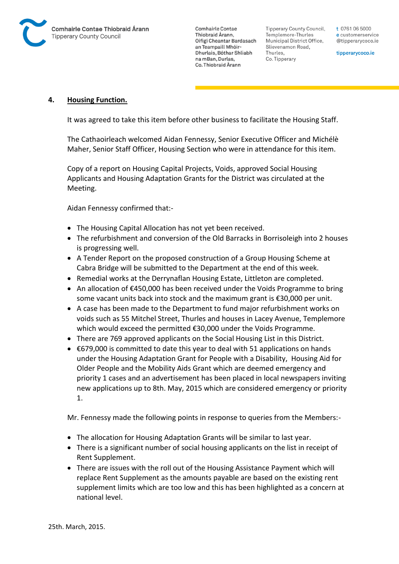

Tipperary County Council. Templemore-Thurles Municipal District Office, Slievenamon Road, Thurles, Co. Tipperary

t 0761 06 5000 e customerservice @tipperarycoco.ie

tipperarycoco.ie

#### **4. Housing Function.**

It was agreed to take this item before other business to facilitate the Housing Staff.

The Cathaoirleach welcomed Aidan Fennessy, Senior Executive Officer and Michélè Maher, Senior Staff Officer, Housing Section who were in attendance for this item.

Copy of a report on Housing Capital Projects, Voids, approved Social Housing Applicants and Housing Adaptation Grants for the District was circulated at the Meeting.

Aidan Fennessy confirmed that:-

- The Housing Capital Allocation has not yet been received.
- The refurbishment and conversion of the Old Barracks in Borrisoleigh into 2 houses is progressing well.
- A Tender Report on the proposed construction of a Group Housing Scheme at Cabra Bridge will be submitted to the Department at the end of this week.
- Remedial works at the Derrynaflan Housing Estate, Littleton are completed.
- An allocation of €450,000 has been received under the Voids Programme to bring some vacant units back into stock and the maximum grant is €30,000 per unit.
- A case has been made to the Department to fund major refurbishment works on voids such as 55 Mitchel Street, Thurles and houses in Lacey Avenue, Templemore which would exceed the permitted €30,000 under the Voids Programme.
- There are 769 approved applicants on the Social Housing List in this District.
- €679,000 is committed to date this year to deal with 51 applications on hands under the Housing Adaptation Grant for People with a Disability, Housing Aid for Older People and the Mobility Aids Grant which are deemed emergency and priority 1 cases and an advertisement has been placed in local newspapers inviting new applications up to 8th. May, 2015 which are considered emergency or priority 1.

Mr. Fennessy made the following points in response to queries from the Members:-

- The allocation for Housing Adaptation Grants will be similar to last year.
- There is a significant number of social housing applicants on the list in receipt of Rent Supplement.
- There are issues with the roll out of the Housing Assistance Payment which will replace Rent Supplement as the amounts payable are based on the existing rent supplement limits which are too low and this has been highlighted as a concern at national level.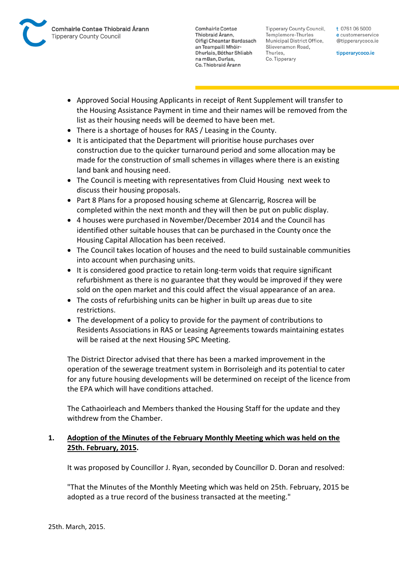

Tipperary County Council. Templemore-Thurles Municipal District Office, Slievenamon Road, Thurles, Co. Tipperary

t 0761 06 5000 e customerservice @tipperarycoco.ie

tipperarycoco.ie

- Approved Social Housing Applicants in receipt of Rent Supplement will transfer to the Housing Assistance Payment in time and their names will be removed from the list as their housing needs will be deemed to have been met.
- There is a shortage of houses for RAS / Leasing in the County.
- It is anticipated that the Department will prioritise house purchases over construction due to the quicker turnaround period and some allocation may be made for the construction of small schemes in villages where there is an existing land bank and housing need.
- The Council is meeting with representatives from Cluid Housing next week to discuss their housing proposals.
- Part 8 Plans for a proposed housing scheme at Glencarrig, Roscrea will be completed within the next month and they will then be put on public display.
- 4 houses were purchased in November/December 2014 and the Council has identified other suitable houses that can be purchased in the County once the Housing Capital Allocation has been received.
- The Council takes location of houses and the need to build sustainable communities into account when purchasing units.
- It is considered good practice to retain long-term voids that require significant refurbishment as there is no guarantee that they would be improved if they were sold on the open market and this could affect the visual appearance of an area.
- The costs of refurbishing units can be higher in built up areas due to site restrictions.
- The development of a policy to provide for the payment of contributions to Residents Associations in RAS or Leasing Agreements towards maintaining estates will be raised at the next Housing SPC Meeting.

The District Director advised that there has been a marked improvement in the operation of the sewerage treatment system in Borrisoleigh and its potential to cater for any future housing developments will be determined on receipt of the licence from the EPA which will have conditions attached.

The Cathaoirleach and Members thanked the Housing Staff for the update and they withdrew from the Chamber.

## **1. Adoption of the Minutes of the February Monthly Meeting which was held on the 25th. February, 2015.**

It was proposed by Councillor J. Ryan, seconded by Councillor D. Doran and resolved:

"That the Minutes of the Monthly Meeting which was held on 25th. February, 2015 be adopted as a true record of the business transacted at the meeting."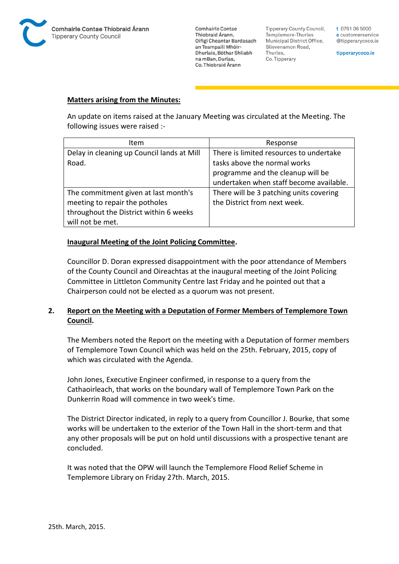

**Tipperary County Council,** Templemore-Thurles Municipal District Office, Slievenamon Road, Thurles, Co. Tipperary

t 0761 06 5000 e customerservice @tipperarycoco.ie

tipperarycoco.ie

#### **Matters arising from the Minutes:**

An update on items raised at the January Meeting was circulated at the Meeting. The following issues were raised :-

| Item                                       | Response                                |  |
|--------------------------------------------|-----------------------------------------|--|
| Delay in cleaning up Council lands at Mill | There is limited resources to undertake |  |
| Road.                                      | tasks above the normal works            |  |
|                                            | programme and the cleanup will be       |  |
|                                            | undertaken when staff become available. |  |
| The commitment given at last month's       | There will be 3 patching units covering |  |
| meeting to repair the potholes             | the District from next week.            |  |
| throughout the District within 6 weeks     |                                         |  |
| will not be met.                           |                                         |  |

#### **Inaugural Meeting of the Joint Policing Committee.**

Councillor D. Doran expressed disappointment with the poor attendance of Members of the County Council and Oireachtas at the inaugural meeting of the Joint Policing Committee in Littleton Community Centre last Friday and he pointed out that a Chairperson could not be elected as a quorum was not present.

## **2. Report on the Meeting with a Deputation of Former Members of Templemore Town Council.**

The Members noted the Report on the meeting with a Deputation of former members of Templemore Town Council which was held on the 25th. February, 2015, copy of which was circulated with the Agenda.

John Jones, Executive Engineer confirmed, in response to a query from the Cathaoirleach, that works on the boundary wall of Templemore Town Park on the Dunkerrin Road will commence in two week's time.

The District Director indicated, in reply to a query from Councillor J. Bourke, that some works will be undertaken to the exterior of the Town Hall in the short-term and that any other proposals will be put on hold until discussions with a prospective tenant are concluded.

It was noted that the OPW will launch the Templemore Flood Relief Scheme in Templemore Library on Friday 27th. March, 2015.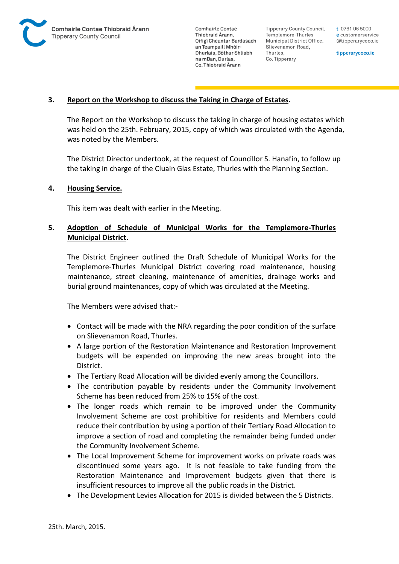

Tipperary County Council. Templemore-Thurles Municipal District Office, Slievenamon Road, Thurles, Co. Tipperary

t 0761 06 5000 e customerservice @tipperarycoco.ie

tipperarycoco.ie

### **3. Report on the Workshop to discuss the Taking in Charge of Estates.**

The Report on the Workshop to discuss the taking in charge of housing estates which was held on the 25th. February, 2015, copy of which was circulated with the Agenda, was noted by the Members.

The District Director undertook, at the request of Councillor S. Hanafin, to follow up the taking in charge of the Cluain Glas Estate, Thurles with the Planning Section.

#### **4. Housing Service.**

This item was dealt with earlier in the Meeting.

## **5. Adoption of Schedule of Municipal Works for the Templemore-Thurles Municipal District.**

The District Engineer outlined the Draft Schedule of Municipal Works for the Templemore-Thurles Municipal District covering road maintenance, housing maintenance, street cleaning, maintenance of amenities, drainage works and burial ground maintenances, copy of which was circulated at the Meeting.

The Members were advised that:-

- Contact will be made with the NRA regarding the poor condition of the surface on Slievenamon Road, Thurles.
- A large portion of the Restoration Maintenance and Restoration Improvement budgets will be expended on improving the new areas brought into the District.
- The Tertiary Road Allocation will be divided evenly among the Councillors.
- The contribution payable by residents under the Community Involvement Scheme has been reduced from 25% to 15% of the cost.
- The longer roads which remain to be improved under the Community Involvement Scheme are cost prohibitive for residents and Members could reduce their contribution by using a portion of their Tertiary Road Allocation to improve a section of road and completing the remainder being funded under the Community Involvement Scheme.
- The Local Improvement Scheme for improvement works on private roads was discontinued some years ago. It is not feasible to take funding from the Restoration Maintenance and Improvement budgets given that there is insufficient resources to improve all the public roads in the District.
- The Development Levies Allocation for 2015 is divided between the 5 Districts.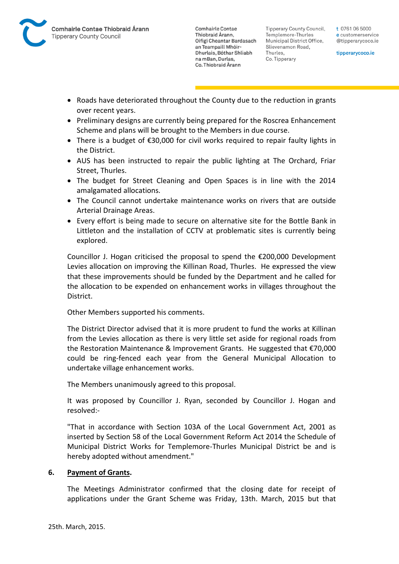

Tipperary County Council. Templemore-Thurles Municipal District Office, Slievenamon Road, Thurles, Co. Tipperary

t 0761 06 5000 e customerservice @tipperarycoco.ie

tipperarycoco.ie

- Roads have deteriorated throughout the County due to the reduction in grants over recent years.
- Preliminary designs are currently being prepared for the Roscrea Enhancement Scheme and plans will be brought to the Members in due course.
- There is a budget of €30,000 for civil works required to repair faulty lights in the District.
- AUS has been instructed to repair the public lighting at The Orchard, Friar Street, Thurles.
- The budget for Street Cleaning and Open Spaces is in line with the 2014 amalgamated allocations.
- The Council cannot undertake maintenance works on rivers that are outside Arterial Drainage Areas.
- Every effort is being made to secure on alternative site for the Bottle Bank in Littleton and the installation of CCTV at problematic sites is currently being explored.

Councillor J. Hogan criticised the proposal to spend the €200,000 Development Levies allocation on improving the Killinan Road, Thurles. He expressed the view that these improvements should be funded by the Department and he called for the allocation to be expended on enhancement works in villages throughout the District.

Other Members supported his comments.

The District Director advised that it is more prudent to fund the works at Killinan from the Levies allocation as there is very little set aside for regional roads from the Restoration Maintenance & Improvement Grants. He suggested that €70,000 could be ring-fenced each year from the General Municipal Allocation to undertake village enhancement works.

The Members unanimously agreed to this proposal.

It was proposed by Councillor J. Ryan, seconded by Councillor J. Hogan and resolved:-

"That in accordance with Section 103A of the Local Government Act, 2001 as inserted by Section 58 of the Local Government Reform Act 2014 the Schedule of Municipal District Works for Templemore-Thurles Municipal District be and is hereby adopted without amendment."

#### **6. Payment of Grants.**

The Meetings Administrator confirmed that the closing date for receipt of applications under the Grant Scheme was Friday, 13th. March, 2015 but that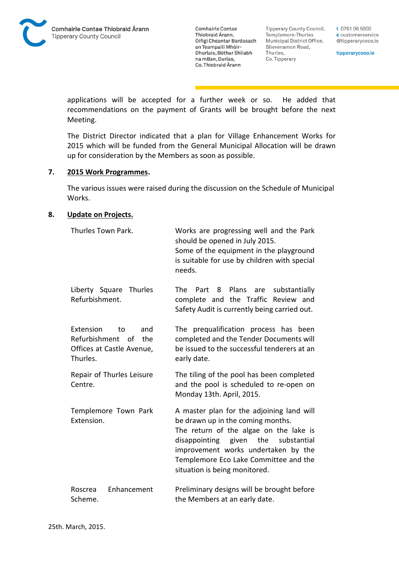**Tipperary County Council,** Templemore-Thurles Municipal District Office, Slievenamon Road, Thurles, Co. Tipperary

t 0761 06 5000 e customerservice @tipperarycoco.ie

tipperarycoco.ie

applications will be accepted for a further week or so. He added that recommendations on the payment of Grants will be brought before the next Meeting.

The District Director indicated that a plan for Village Enhancement Works for 2015 which will be funded from the General Municipal Allocation will be drawn up for consideration by the Members as soon as possible.

#### **7. 2015 Work Programmes.**

The various issues were raised during the discussion on the Schedule of Municipal Works.

#### **8. Update on Projects.**

| Thurles Town Park.                                                                         | Works are progressing well and the Park<br>should be opened in July 2015.<br>Some of the equipment in the playground<br>is suitable for use by children with special<br>needs.                                                                                                         |
|--------------------------------------------------------------------------------------------|----------------------------------------------------------------------------------------------------------------------------------------------------------------------------------------------------------------------------------------------------------------------------------------|
| Liberty Square Thurles<br>Refurbishment.                                                   | <b>The</b><br>Plans<br>Part<br>8<br>are<br>substantially<br>complete and the Traffic Review and<br>Safety Audit is currently being carried out.                                                                                                                                        |
| Extension<br>to<br>and<br>Refurbishment of<br>the<br>Offices at Castle Avenue,<br>Thurles. | The prequalification process has been<br>completed and the Tender Documents will<br>be issued to the successful tenderers at an<br>early date.                                                                                                                                         |
| Repair of Thurles Leisure<br>Centre.                                                       | The tiling of the pool has been completed<br>and the pool is scheduled to re-open on<br>Monday 13th. April, 2015.                                                                                                                                                                      |
| Templemore Town Park<br>Extension.                                                         | A master plan for the adjoining land will<br>be drawn up in the coming months.<br>The return of the algae on the lake is<br>the<br>disappointing given<br>substantial<br>improvement works undertaken by the<br>Templemore Eco Lake Committee and the<br>situation is being monitored. |
| Enhancement<br>Roscrea<br>Scheme.                                                          | Preliminary designs will be brought before<br>the Members at an early date.                                                                                                                                                                                                            |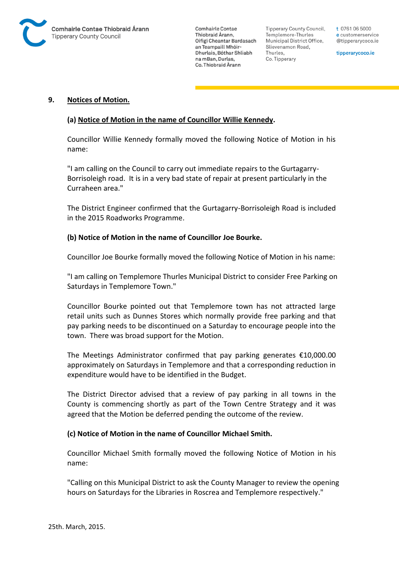

Tipperary County Council. Templemore-Thurles Municipal District Office, Slievenamon Road, Thurles, Co. Tipperary

t 0761 06 5000 e customerservice @tipperarycoco.ie

tipperarycoco.ie

#### **9. Notices of Motion.**

#### **(a) Notice of Motion in the name of Councillor Willie Kennedy.**

Councillor Willie Kennedy formally moved the following Notice of Motion in his name:

"I am calling on the Council to carry out immediate repairs to the Gurtagarry-Borrisoleigh road. It is in a very bad state of repair at present particularly in the Curraheen area."

The District Engineer confirmed that the Gurtagarry-Borrisoleigh Road is included in the 2015 Roadworks Programme.

#### **(b) Notice of Motion in the name of Councillor Joe Bourke.**

Councillor Joe Bourke formally moved the following Notice of Motion in his name:

"I am calling on Templemore Thurles Municipal District to consider Free Parking on Saturdays in Templemore Town."

Councillor Bourke pointed out that Templemore town has not attracted large retail units such as Dunnes Stores which normally provide free parking and that pay parking needs to be discontinued on a Saturday to encourage people into the town. There was broad support for the Motion.

The Meetings Administrator confirmed that pay parking generates €10,000.00 approximately on Saturdays in Templemore and that a corresponding reduction in expenditure would have to be identified in the Budget.

The District Director advised that a review of pay parking in all towns in the County is commencing shortly as part of the Town Centre Strategy and it was agreed that the Motion be deferred pending the outcome of the review.

#### **(c) Notice of Motion in the name of Councillor Michael Smith.**

Councillor Michael Smith formally moved the following Notice of Motion in his name:

"Calling on this Municipal District to ask the County Manager to review the opening hours on Saturdays for the Libraries in Roscrea and Templemore respectively."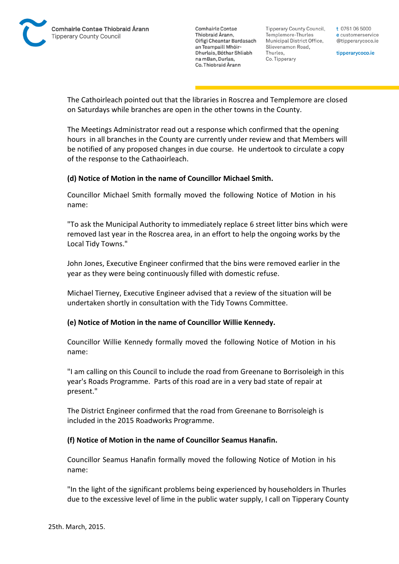

Tipperary County Council. Templemore-Thurles Municipal District Office, Slievenamon Road, Thurles, Co. Tipperary

t 0761 06 5000 e customerservice @tipperarycoco.ie

tipperarycoco.ie

The Cathoirleach pointed out that the libraries in Roscrea and Templemore are closed on Saturdays while branches are open in the other towns in the County.

The Meetings Administrator read out a response which confirmed that the opening hours in all branches in the County are currently under review and that Members will be notified of any proposed changes in due course. He undertook to circulate a copy of the response to the Cathaoirleach.

## **(d) Notice of Motion in the name of Councillor Michael Smith.**

Councillor Michael Smith formally moved the following Notice of Motion in his name:

"To ask the Municipal Authority to immediately replace 6 street litter bins which were removed last year in the Roscrea area, in an effort to help the ongoing works by the Local Tidy Towns."

John Jones, Executive Engineer confirmed that the bins were removed earlier in the year as they were being continuously filled with domestic refuse.

Michael Tierney, Executive Engineer advised that a review of the situation will be undertaken shortly in consultation with the Tidy Towns Committee.

#### **(e) Notice of Motion in the name of Councillor Willie Kennedy.**

Councillor Willie Kennedy formally moved the following Notice of Motion in his name:

"I am calling on this Council to include the road from Greenane to Borrisoleigh in this year's Roads Programme. Parts of this road are in a very bad state of repair at present."

The District Engineer confirmed that the road from Greenane to Borrisoleigh is included in the 2015 Roadworks Programme.

#### **(f) Notice of Motion in the name of Councillor Seamus Hanafin.**

Councillor Seamus Hanafin formally moved the following Notice of Motion in his name:

"In the light of the significant problems being experienced by householders in Thurles due to the excessive level of lime in the public water supply, I call on Tipperary County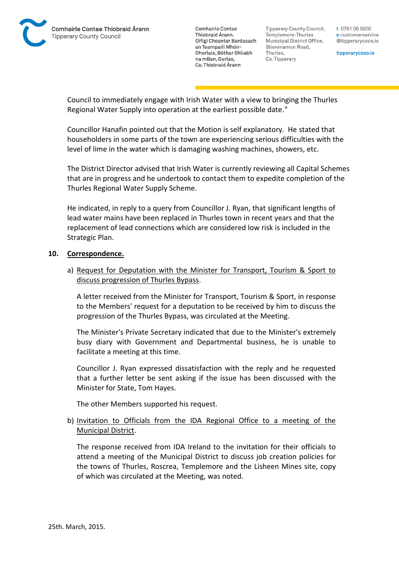

Tipperary County Council. Templemore-Thurles Municipal District Office, Slievenamon Road, Thurles, Co. Tipperary

t 0761 06 5000 e customerservice @tipperarycoco.ie

tipperarycoco.ie

Council to immediately engage with Irish Water with a view to bringing the Thurles Regional Water Supply into operation at the earliest possible date."

Councillor Hanafin pointed out that the Motion is self explanatory. He stated that householders in some parts of the town are experiencing serious difficulties with the level of lime in the water which is damaging washing machines, showers, etc.

The District Director advised that Irish Water is currently reviewing all Capital Schemes that are in progress and he undertook to contact them to expedite completion of the Thurles Regional Water Supply Scheme.

He indicated, in reply to a query from Councillor J. Ryan, that significant lengths of lead water mains have been replaced in Thurles town in recent years and that the replacement of lead connections which are considered low risk is included in the Strategic Plan.

#### **10. Correspondence.**

a) Request for Deputation with the Minister for Transport, Tourism & Sport to discuss progression of Thurles Bypass.

A letter received from the Minister for Transport, Tourism & Sport, in response to the Members' request for a deputation to be received by him to discuss the progression of the Thurles Bypass, was circulated at the Meeting.

The Minister's Private Secretary indicated that due to the Minister's extremely busy diary with Government and Departmental business, he is unable to facilitate a meeting at this time.

Councillor J. Ryan expressed dissatisfaction with the reply and he requested that a further letter be sent asking if the issue has been discussed with the Minister for State, Tom Hayes.

The other Members supported his request.

## b) Invitation to Officials from the IDA Regional Office to a meeting of the Municipal District.

The response received from IDA Ireland to the invitation for their officials to attend a meeting of the Municipal District to discuss job creation policies for the towns of Thurles, Roscrea, Templemore and the Lisheen Mines site, copy of which was circulated at the Meeting, was noted.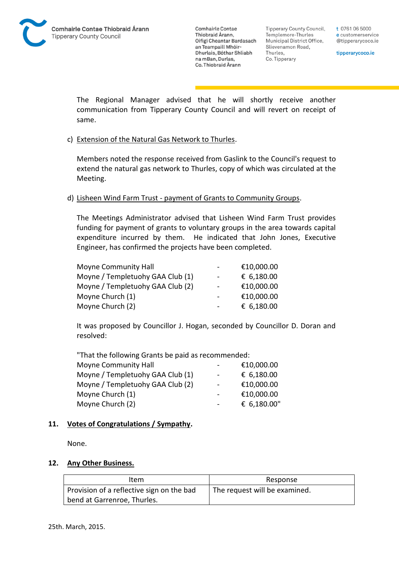**Tipperary County Council,** Templemore-Thurles Municipal District Office, Slievenamon Road, Thurles, Co. Tipperary

t 0761 06 5000 e customerservice @tipperarycoco.ie

tipperarycoco.ie

The Regional Manager advised that he will shortly receive another communication from Tipperary County Council and will revert on receipt of same.

#### c) Extension of the Natural Gas Network to Thurles.

Members noted the response received from Gaslink to the Council's request to extend the natural gas network to Thurles, copy of which was circulated at the Meeting.

#### d) Lisheen Wind Farm Trust - payment of Grants to Community Groups.

The Meetings Administrator advised that Lisheen Wind Farm Trust provides funding for payment of grants to voluntary groups in the area towards capital expenditure incurred by them. He indicated that John Jones, Executive Engineer, has confirmed the projects have been completed.

| Moyne Community Hall             |                          | €10,000.00 |
|----------------------------------|--------------------------|------------|
| Moyne / Templetuohy GAA Club (1) | $\overline{\phantom{0}}$ | € 6,180.00 |
| Moyne / Templetuohy GAA Club (2) | $\blacksquare$           | €10,000.00 |
| Moyne Church (1)                 |                          | €10,000.00 |
| Moyne Church (2)                 |                          | € 6,180.00 |

It was proposed by Councillor J. Hogan, seconded by Councillor D. Doran and resolved:

"That the following Grants be paid as recommended: Moyne Community Hall **F10,000.00** 

|                | UU.UUU.UU   |
|----------------|-------------|
| $\sim$         | € 6,180.00  |
| $\sim$         | €10,000.00  |
| $\blacksquare$ | €10,000.00  |
| $\sim$         | € 6,180.00" |
|                |             |

#### **11. Votes of Congratulations / Sympathy.**

None.

#### **12. Any Other Business.**

| Item                                      | Response                      |
|-------------------------------------------|-------------------------------|
| Provision of a reflective sign on the bad | The request will be examined. |
| bend at Garrenroe, Thurles.               |                               |